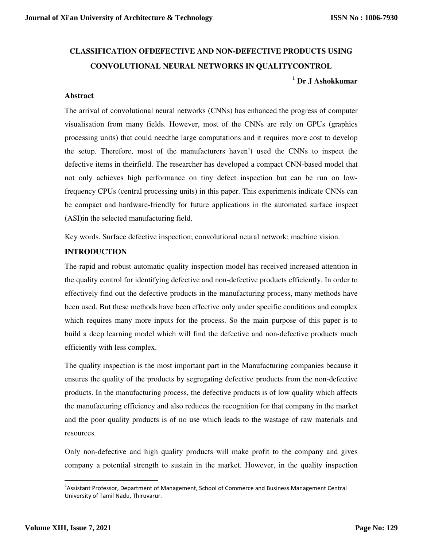# **CLASSIFICATION OFDEFECTIVE AND NON-DEFECTIVE PRODUCTS USING CONVOLUTIONAL NEURAL NETWORKS IN QUALITYCONTROL 1 Dr J Ashokkumar**

#### **Abstract**

The arrival of convolutional neural networks (CNNs) has enhanced the progress of computer visualisation from many fields. However, most of the CNNs are rely on GPUs (graphics processing units) that could needthe large computations and it requires more cost to develop the setup. Therefore, most of the manufacturers haven't used the CNNs to inspect the defective items in theirfield. The researcher has developed a compact CNN-based model that not only achieves high performance on tiny defect inspection but can be run on lowfrequency CPUs (central processing units) in this paper. This experiments indicate CNNs can be compact and hardware-friendly for future applications in the automated surface inspect (ASI)in the selected manufacturing field.

Key words. Surface defective inspection; convolutional neural network; machine vision.

#### **INTRODUCTION**

The rapid and robust automatic quality inspection model has received increased attention in the quality control for identifying defective and non-defective products efficiently. In order to effectively find out the defective products in the manufacturing process, many methods have been used. But these methods have been effective only under specific conditions and complex which requires many more inputs for the process. So the main purpose of this paper is to build a deep learning model which will find the defective and non-defective products much efficiently with less complex.

The quality inspection is the most important part in the Manufacturing companies because it ensures the quality of the products by segregating defective products from the non-defective products. In the manufacturing process, the defective products is of low quality which affects the manufacturing efficiency and also reduces the recognition for that company in the market and the poor quality products is of no use which leads to the wastage of raw materials and resources.

Only non-defective and high quality products will make profit to the company and gives company a potential strength to sustain in the market. However, in the quality inspection

l,

<sup>&</sup>lt;sup>1</sup>Assistant Professor, Department of Management, School of Commerce and Business Management Central University of Tamil Nadu, Thiruvarur.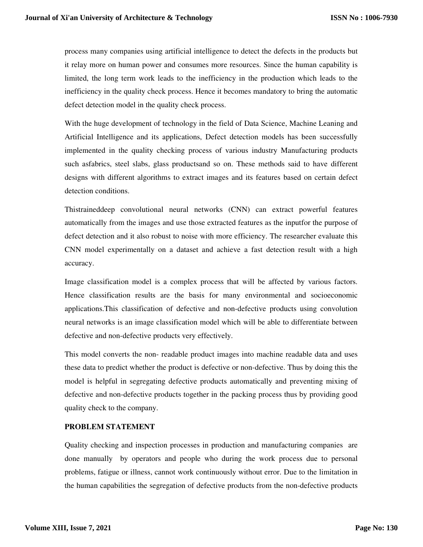process many companies using artificial intelligence to detect the defects in the products but it relay more on human power and consumes more resources. Since the human capability is limited, the long term work leads to the inefficiency in the production which leads to the inefficiency in the quality check process. Hence it becomes mandatory to bring the automatic defect detection model in the quality check process.

With the huge development of technology in the field of Data Science, Machine Leaning and Artificial Intelligence and its applications, Defect detection models has been successfully implemented in the quality checking process of various industry Manufacturing products such asfabrics, steel slabs, glass productsand so on. These methods said to have different designs with different algorithms to extract images and its features based on certain defect detection conditions.

Thistraineddeep convolutional neural networks (CNN) can extract powerful features automatically from the images and use those extracted features as the inputfor the purpose of defect detection and it also robust to noise with more efficiency. The researcher evaluate this CNN model experimentally on a dataset and achieve a fast detection result with a high accuracy.

Image classification model is a complex process that will be affected by various factors. Hence classification results are the basis for many environmental and socioeconomic applications.This classification of defective and non-defective products using convolution neural networks is an image classification model which will be able to differentiate between defective and non-defective products very effectively.

This model converts the non- readable product images into machine readable data and uses these data to predict whether the product is defective or non-defective. Thus by doing this the model is helpful in segregating defective products automatically and preventing mixing of defective and non-defective products together in the packing process thus by providing good quality check to the company.

#### **PROBLEM STATEMENT**

Quality checking and inspection processes in production and manufacturing companies are done manually by operators and people who during the work process due to personal problems, fatigue or illness, cannot work continuously without error. Due to the limitation in the human capabilities the segregation of defective products from the non-defective products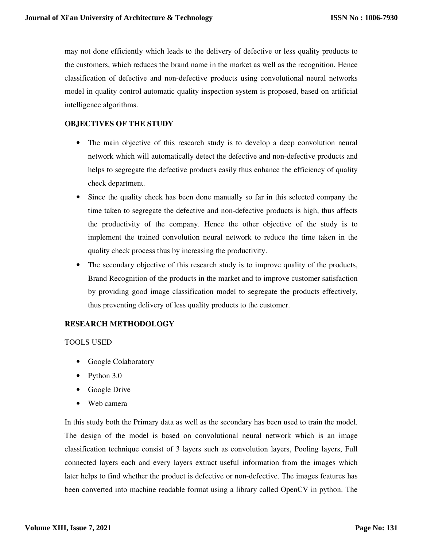may not done efficiently which leads to the delivery of defective or less quality products to the customers, which reduces the brand name in the market as well as the recognition. Hence classification of defective and non-defective products using convolutional neural networks model in quality control automatic quality inspection system is proposed, based on artificial intelligence algorithms.

## **OBJECTIVES OF THE STUDY**

- The main objective of this research study is to develop a deep convolution neural network which will automatically detect the defective and non-defective products and helps to segregate the defective products easily thus enhance the efficiency of quality check department.
- Since the quality check has been done manually so far in this selected company the time taken to segregate the defective and non-defective products is high, thus affects the productivity of the company. Hence the other objective of the study is to implement the trained convolution neural network to reduce the time taken in the quality check process thus by increasing the productivity.
- The secondary objective of this research study is to improve quality of the products, Brand Recognition of the products in the market and to improve customer satisfaction by providing good image classification model to segregate the products effectively, thus preventing delivery of less quality products to the customer.

#### **RESEARCH METHODOLOGY**

#### TOOLS USED

- Google Colaboratory
- Python 3.0
- Google Drive
- Web camera

In this study both the Primary data as well as the secondary has been used to train the model. The design of the model is based on convolutional neural network which is an image classification technique consist of 3 layers such as convolution layers, Pooling layers, Full connected layers each and every layers extract useful information from the images which later helps to find whether the product is defective or non-defective. The images features has been converted into machine readable format using a library called OpenCV in python. The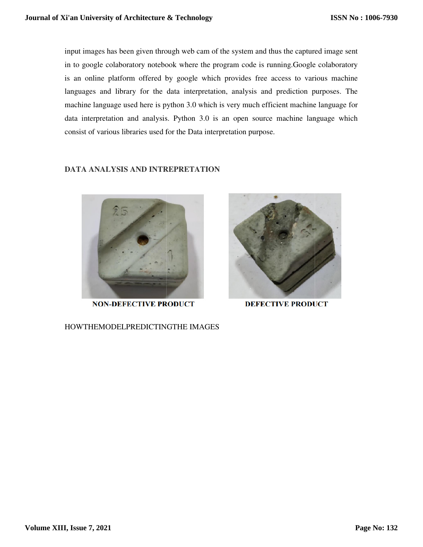input images has been given through web cam of the system and thus the captured image sent input images has been given through web cam of the system and thus the captured image sent<br>in to google colaboratory notebook where the program code is running.Google colaboratory is an online platform offered by google which provides free access to various machine languages and library for the data interpretation, analysis and prediction purposes. The machine language used here is python 3.0 which is very much efficient machine language for data interpretation and analysis. Python 3.0 is an open source machine language which consist of various libraries used for the Data interpretation purpose. input images has been given through web can of the system and thus the captured image sent<br>in to google colaboratory notebook where the program code is running.Google colaboratory<br>Integrals an online platform offred by goo **Journal of Xi'an University of Architecture & Technology**<br>input images has been given through web cam of the system and th<br>in to google colaboratory notebook where the program code is ru<br>is an online platform offered by g

#### **DATA ANALYSIS AND INTREPRETATION INTREPRETATION**



HOWTHEMODELPREDICTINGTHE IMAGES

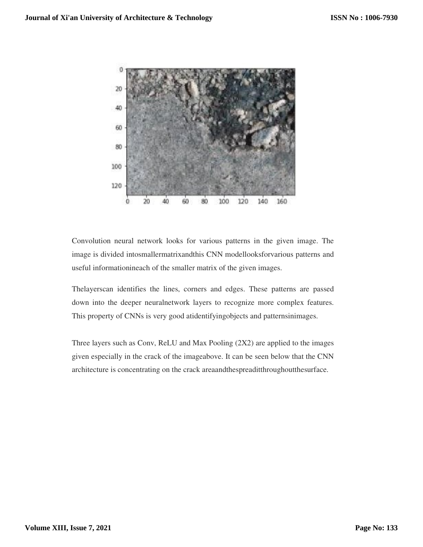

Convolution neural network looks for various patterns in the given image. The image is divided intosmallermatrixandthis CNN modellooksforvarious patterns and useful informationineach of the smaller matrix of the given images.

Thelayerscan identifies the lines, corners and edges. These patterns are passed down into the deeper neuralnetwork layers to recognize more complex features. This property of CNNs is very good atidentifyingobjects and patternsinimages.

Three layers such as Conv, ReLU and Max Pooling (2X2) are applied to the images given especially in the crack of the imageabove. It can be seen below that the CNN architecture is concentrating on the crack areaandthespreaditthroughoutthesurface.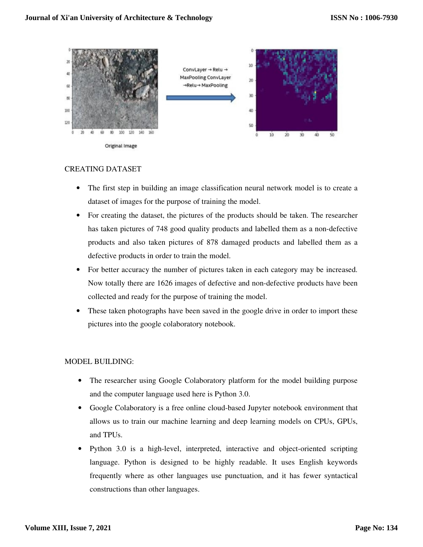

#### CREATING DATASET

- The first step in building an image classification neural network model is to create a dataset of images for the purpose of training the model.
- For creating the dataset, the pictures of the products should be taken. The researcher has taken pictures of 748 good quality products and labelled them as a non-defective products and also taken pictures of 878 damaged products and labelled them as a defective products in order to train the model.
- For better accuracy the number of pictures taken in each category may be increased. Now totally there are 1626 images of defective and non-defective products have been collected and ready for the purpose of training the model.
- These taken photographs have been saved in the google drive in order to import these pictures into the google colaboratory notebook.

#### MODEL BUILDING:

- The researcher using Google Colaboratory platform for the model building purpose and the computer language used here is Python 3.0.
- Google Colaboratory is a free online cloud-based Jupyter notebook environment that allows us to train our machine learning and deep learning models on CPUs, GPUs, and TPUs.
- Python 3.0 is a high-level, interpreted, interactive and object-oriented scripting language. Python is designed to be highly readable. It uses English keywords frequently where as other languages use punctuation, and it has fewer syntactical constructions than other languages.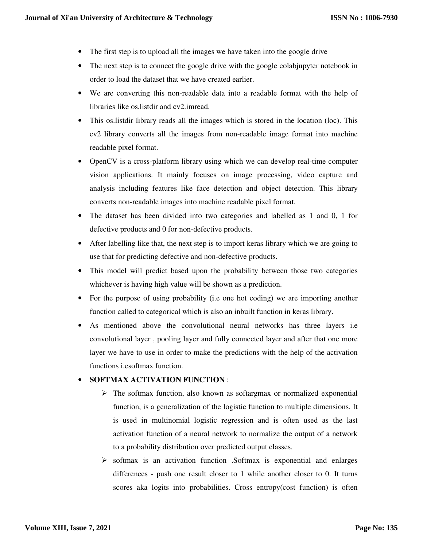- The first step is to upload all the images we have taken into the google drive
- The next step is to connect the google drive with the google colab up the notebook in order to load the dataset that we have created earlier.
- We are converting this non-readable data into a readable format with the help of libraries like os.listdir and cv2.imread.
- This os.listdir library reads all the images which is stored in the location (loc). This cv2 library converts all the images from non-readable image format into machine readable pixel format.
- OpenCV is a cross-platform library using which we can develop real-time computer vision applications. It mainly focuses on image processing, video capture and analysis including features like face detection and object detection. This library converts non-readable images into machine readable pixel format.
- The dataset has been divided into two categories and labelled as 1 and 0, 1 for defective products and 0 for non-defective products.
- After labelling like that, the next step is to import keras library which we are going to use that for predicting defective and non-defective products.
- This model will predict based upon the probability between those two categories whichever is having high value will be shown as a prediction.
- For the purpose of using probability (i.e one hot coding) we are importing another function called to categorical which is also an inbuilt function in keras library.
- As mentioned above the convolutional neural networks has three layers i.e convolutional layer , pooling layer and fully connected layer and after that one more layer we have to use in order to make the predictions with the help of the activation functions i.esoftmax function.

# • **SOFTMAX ACTIVATION FUNCTION** :

- $\triangleright$  The softmax function, also known as softargmax or normalized exponential function, is a generalization of the logistic function to multiple dimensions. It is used in multinomial logistic regression and is often used as the last activation function of a neural network to normalize the output of a network to a probability distribution over predicted output classes.
- $\triangleright$  softmax is an activation function . Softmax is exponential and enlarges differences - push one result closer to 1 while another closer to 0. It turns scores aka logits into probabilities. Cross entropy(cost function) is often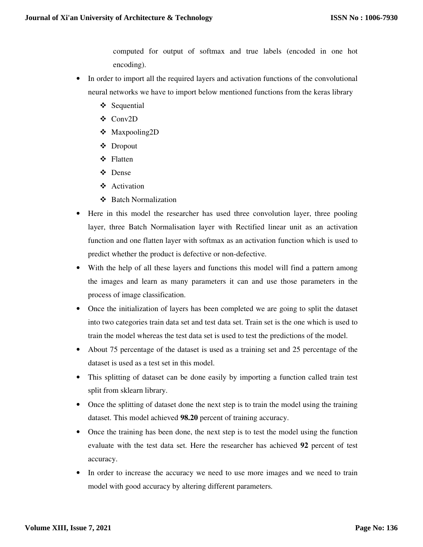computed for output of softmax and true labels (encoded in one hot encoding).

- In order to import all the required layers and activation functions of the convolutional neural networks we have to import below mentioned functions from the keras library
	- ❖ Sequential
	- Conv2D
	- Maxpooling2D
	- Dropout
	- ❖ Flatten
	- **☆** Dense
	- ❖ Activation
	- Batch Normalization
- Here in this model the researcher has used three convolution layer, three pooling layer, three Batch Normalisation layer with Rectified linear unit as an activation function and one flatten layer with softmax as an activation function which is used to predict whether the product is defective or non-defective.
- With the help of all these layers and functions this model will find a pattern among the images and learn as many parameters it can and use those parameters in the process of image classification.
- Once the initialization of layers has been completed we are going to split the dataset into two categories train data set and test data set. Train set is the one which is used to train the model whereas the test data set is used to test the predictions of the model.
- About 75 percentage of the dataset is used as a training set and 25 percentage of the dataset is used as a test set in this model.
- This splitting of dataset can be done easily by importing a function called train test split from sklearn library.
- Once the splitting of dataset done the next step is to train the model using the training dataset. This model achieved **98.20** percent of training accuracy.
- Once the training has been done, the next step is to test the model using the function evaluate with the test data set. Here the researcher has achieved **92** percent of test accuracy.
- In order to increase the accuracy we need to use more images and we need to train model with good accuracy by altering different parameters.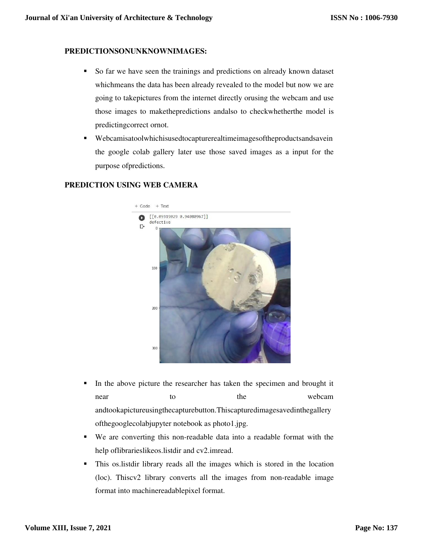## **PREDICTIONSONUNKNOWNIMAGES:**

- So far we have seen the trainings and predictions on already known dataset whichmeans the data has been already revealed to the model but now we are going to takepictures from the internet directly orusing the webcam and use those images to makethepredictions andalso to checkwhetherthe model is predictingcorrect ornot.
- Webcamisatoolwhichisusedtocapturerealtimeimagesoftheproductsandsavein the google colab gallery later use those saved images as a input for the purpose ofpredictions.

### **PREDICTION USING WEB CAMERA**



- In the above picture the researcher has taken the specimen and brought it near to the webcam andtookapictureusingthecapturebutton.Thiscapturedimagesavedinthegallery ofthegooglecolabjupyter notebook as photo1.jpg.
- We are converting this non-readable data into a readable format with the help oflibrarieslikeos.listdir and cv2.imread.
- This os.listdir library reads all the images which is stored in the location (loc). Thiscv2 library converts all the images from non-readable image format into machinereadablepixel format.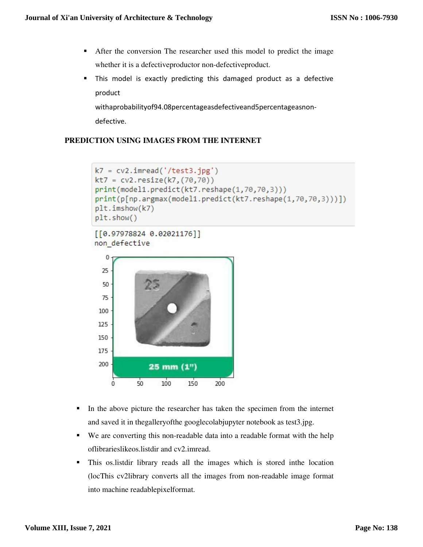- After the conversion The researcher used this model to predict the image whether it is a defectiveproductor non-defectiveproduct.
- This model is exactly predicting this damaged product as a defective product

withaprobabilityof94.08percentageasdefectiveand5percentageasnondefective.

# **PREDICTION USING IMAGES FROM THE INTERNET**

```
k7 = cv2.imread('/test3.jpg')
kt7 = cv2.resize(k7, (70, 70))print(model1.predict(kt7.reshape(1,70,70,3)))
print(p[np.argmax(model1.predict(kt7.reshape(1,70,70,3)))])
plt.inshow(k7)plt.show()
```

```
[6.97978824 0.02021176]non defective
```


- In the above picture the researcher has taken the specimen from the internet and saved it in thegalleryofthe googlecolabjupyter notebook as test3.jpg.
- We are converting this non-readable data into a readable format with the help oflibrarieslikeos.listdir and cv2.imread.
- This os.listdir library reads all the images which is stored inthe location (locThis cv2library converts all the images from non-readable image format into machine readablepixelformat.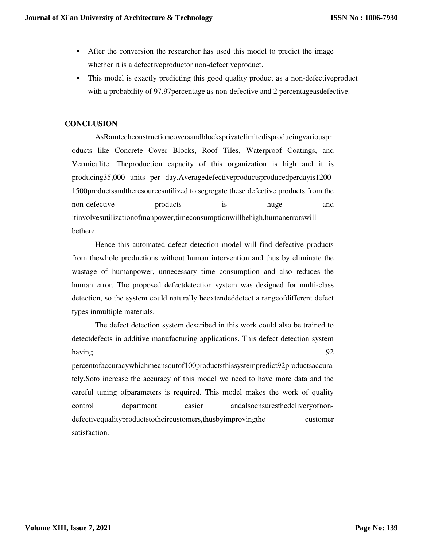- After the conversion the researcher has used this model to predict the image whether it is a defectiveproductor non-defectiveproduct.
- This model is exactly predicting this good quality product as a non-defectiveproduct with a probability of 97.97percentage as non-defective and 2 percentageasdefective.

## **CONCLUSION**

AsRamtechconstructioncoversandblocksprivatelimitedisproducingvariouspr oducts like Concrete Cover Blocks, Roof Tiles, Waterproof Coatings, and Vermiculite. Theproduction capacity of this organization is high and it is producing35,000 units per day.Averagedefectiveproductsproducedperdayis1200- 1500productsandtheresourcesutilized to segregate these defective products from the non-defective products is huge and itinvolvesutilizationofmanpower,timeconsumptionwillbehigh,humanerrorswill bethere.

Hence this automated defect detection model will find defective products from thewhole productions without human intervention and thus by eliminate the wastage of humanpower, unnecessary time consumption and also reduces the human error. The proposed defectdetection system was designed for multi-class detection, so the system could naturally beextendeddetect a rangeofdifferent defect types inmultiple materials.

The defect detection system described in this work could also be trained to detectdefects in additive manufacturing applications. This defect detection system having 92

percentofaccuracywhichmeansoutof100productsthissystempredict92productsaccura tely.Soto increase the accuracy of this model we need to have more data and the careful tuning ofparameters is required. This model makes the work of quality control department easier andalsoensuresthedeliveryofnondefectivequalityproductstotheircustomers,thusbyimprovingthe customer satisfaction.